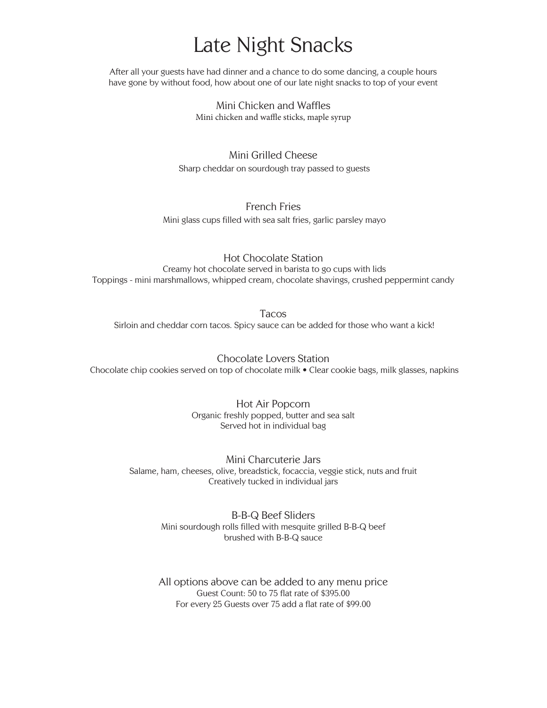## Late Night Snacks

After all your guests have had dinner and a chance to do some dancing, a couple hours have gone by without food, how about one of our late night snacks to top of your event

> Mini Chicken and Waffles Mini chicken and waffle sticks, maple syrup

Mini Grilled Cheese Sharp cheddar on sourdough tray passed to guests

## French Fries

Mini glass cups filled with sea salt fries, garlic parsley mayo

Hot Chocolate Station Creamy hot chocolate served in barista to go cups with lids Toppings - mini marshmallows, whipped cream, chocolate shavings, crushed peppermint candy

Tacos Sirloin and cheddar corn tacos. Spicy sauce can be added for those who want a kick!

Chocolate Lovers Station Chocolate chip cookies served on top of chocolate milk • Clear cookie bags, milk glasses, napkins

> Hot Air Popcorn Organic freshly popped, butter and sea salt Served hot in individual bag

Mini Charcuterie Jars Salame, ham, cheeses, olive, breadstick, focaccia, veggie stick, nuts and fruit Creatively tucked in individual jars

> B-B-Q Beef Sliders Mini sourdough rolls filled with mesquite grilled B-B-Q beef brushed with B-B-Q sauce

> All options above can be added to any menu price Guest Count: 50 to 75 flat rate of \$395.00 For every 25 Guests over 75 add a flat rate of \$99.00